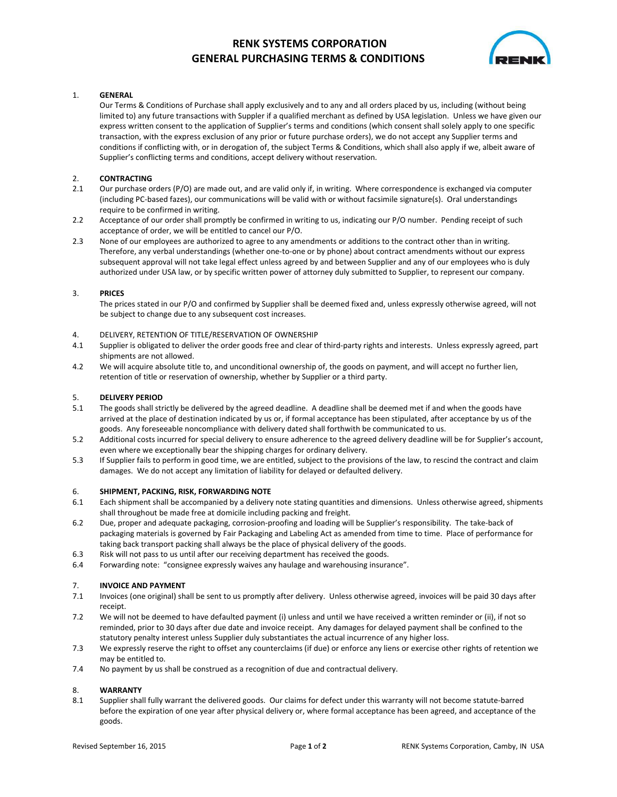# **RENK SYSTEMS CORPORATION GENERAL PURCHASING TERMS & CONDITIONS**



## 1. **GENERAL**

 Our Terms & Conditions of Purchase shall apply exclusively and to any and all orders placed by us, including (without being limited to) any future transactions with Suppler if a qualified merchant as defined by USA legislation. Unless we have given our express written consent to the application of Supplier's terms and conditions (which consent shall solely apply to one specific transaction, with the express exclusion of any prior or future purchase orders), we do not accept any Supplier terms and conditions if conflicting with, or in derogation of, the subject Terms & Conditions, which shall also apply if we, albeit aware of Supplier's conflicting terms and conditions, accept delivery without reservation.

## 2. **CONTRACTING**

- 2.1 Our purchase orders (P/O) are made out, and are valid only if, in writing. Where correspondence is exchanged via computer (including PC-based fazes), our communications will be valid with or without facsimile signature(s). Oral understandings require to be confirmed in writing.
- 2.2 Acceptance of our order shall promptly be confirmed in writing to us, indicating our P/O number. Pending receipt of such acceptance of order, we will be entitled to cancel our P/O.
- 2.3 None of our employees are authorized to agree to any amendments or additions to the contract other than in writing. Therefore, any verbal understandings (whether one-to-one or by phone) about contract amendments without our express subsequent approval will not take legal effect unless agreed by and between Supplier and any of our employees who is duly authorized under USA law, or by specific written power of attorney duly submitted to Supplier, to represent our company.

### 3. **PRICES**

 The prices stated in our P/O and confirmed by Supplier shall be deemed fixed and, unless expressly otherwise agreed, will not be subject to change due to any subsequent cost increases.

### 4. DELIVERY, RETENTION OF TITLE/RESERVATION OF OWNERSHIP

- 4.1 Supplier is obligated to deliver the order goods free and clear of third-party rights and interests. Unless expressly agreed, part shipments are not allowed.
- 4.2 We will acquire absolute title to, and unconditional ownership of, the goods on payment, and will accept no further lien, retention of title or reservation of ownership, whether by Supplier or a third party.

### 5. **DELIVERY PERIOD**

- 5.1 The goods shall strictly be delivered by the agreed deadline. A deadline shall be deemed met if and when the goods have arrived at the place of destination indicated by us or, if formal acceptance has been stipulated, after acceptance by us of the goods. Any foreseeable noncompliance with delivery dated shall forthwith be communicated to us.
- 5.2 Additional costs incurred for special delivery to ensure adherence to the agreed delivery deadline will be for Supplier's account, even where we exceptionally bear the shipping charges for ordinary delivery.
- 5.3 If Supplier fails to perform in good time, we are entitled, subject to the provisions of the law, to rescind the contract and claim damages. We do not accept any limitation of liability for delayed or defaulted delivery.

### 6. **SHIPMENT, PACKING, RISK, FORWARDING NOTE**

- 6.1 Each shipment shall be accompanied by a delivery note stating quantities and dimensions. Unless otherwise agreed, shipments shall throughout be made free at domicile including packing and freight.
- 6.2 Due, proper and adequate packaging, corrosion-proofing and loading will be Supplier's responsibility. The take-back of packaging materials is governed by Fair Packaging and Labeling Act as amended from time to time. Place of performance for taking back transport packing shall always be the place of physical delivery of the goods.
- 6.3 Risk will not pass to us until after our receiving department has received the goods.
- 6.4 Forwarding note: "consignee expressly waives any haulage and warehousing insurance".

### 7. **INVOICE AND PAYMENT**

- 7.1 Invoices (one original) shall be sent to us promptly after delivery. Unless otherwise agreed, invoices will be paid 30 days after receipt.
- 7.2 We will not be deemed to have defaulted payment (i) unless and until we have received a written reminder or (ii), if not so reminded, prior to 30 days after due date and invoice receipt. Any damages for delayed payment shall be confined to the statutory penalty interest unless Supplier duly substantiates the actual incurrence of any higher loss.
- 7.3 We expressly reserve the right to offset any counterclaims (if due) or enforce any liens or exercise other rights of retention we may be entitled to.
- 7.4 No payment by us shall be construed as a recognition of due and contractual delivery.

### 8. **WARRANTY**

8.1 Supplier shall fully warrant the delivered goods. Our claims for defect under this warranty will not become statute-barred before the expiration of one year after physical delivery or, where formal acceptance has been agreed, and acceptance of the goods.